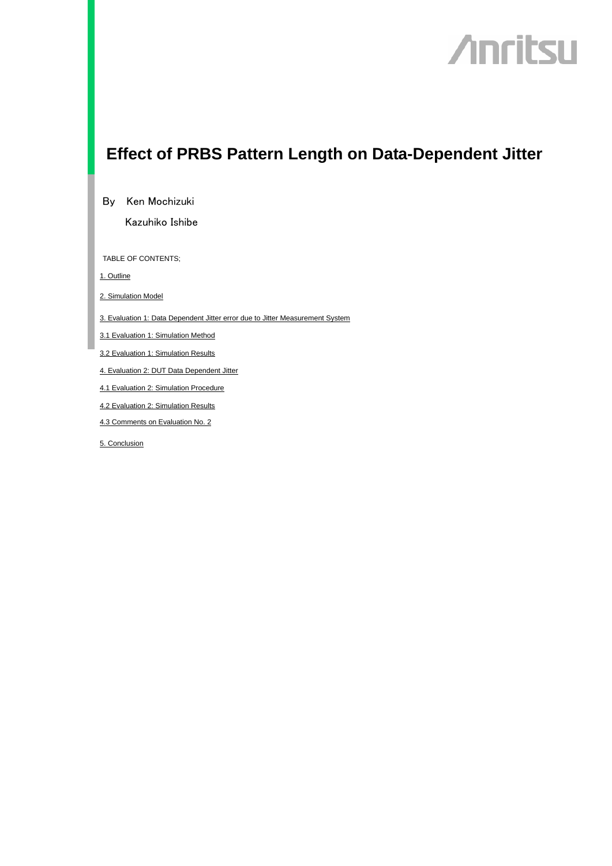## **Anritsu**

## **Effect of PRBS Pattern Length on Data-Dependent Jitter**

By Ken Mochizuki

Kazuhiko Ishibe

TABLE OF CONTENTS;

1. Outline

2. Simulation Model

3. Evaluation 1: Data Dependent Jitter error due to Jitter Measurement System

3.1 Evaluation 1: Simulation Method

3.2 Evaluation 1: Simulation Results

4. Evaluation 2: DUT Data Dependent Jitter

4.1 Evaluation 2: Simulation Procedure

4.2 Evaluation 2: Simulation Results

4.3 Comments on Evaluation No. 2

5. Conclusion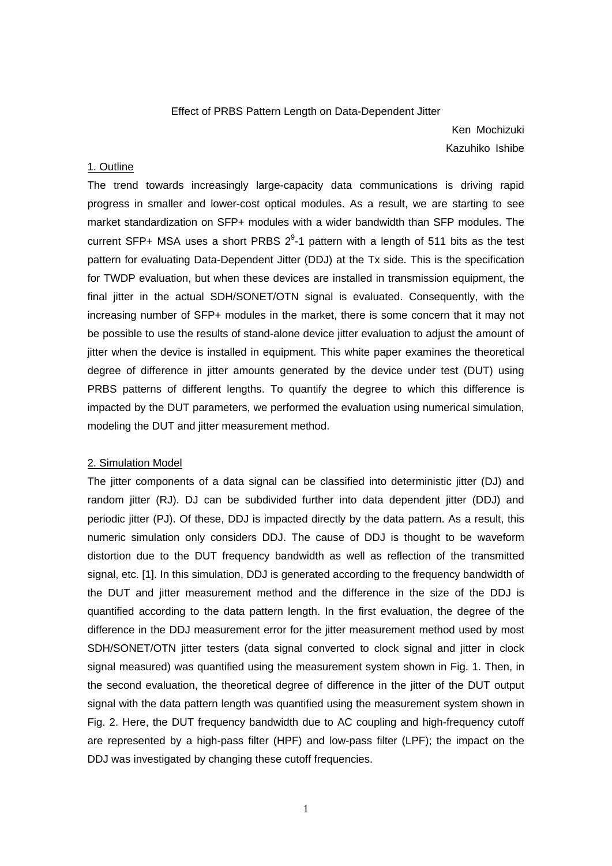#### Effect of PRBS Pattern Length on Data-Dependent Jitter

Ken Mochizuki Kazuhiko Ishibe

#### 1. Outline

The trend towards increasingly large-capacity data communications is driving rapid progress in smaller and lower-cost optical modules. As a result, we are starting to see market standardization on SFP+ modules with a wider bandwidth than SFP modules. The current SFP+ MSA uses a short PRBS  $2^9$ -1 pattern with a length of 511 bits as the test pattern for evaluating Data-Dependent Jitter (DDJ) at the Tx side. This is the specification for TWDP evaluation, but when these devices are installed in transmission equipment, the final jitter in the actual SDH/SONET/OTN signal is evaluated. Consequently, with the increasing number of SFP+ modules in the market, there is some concern that it may not be possible to use the results of stand-alone device jitter evaluation to adjust the amount of jitter when the device is installed in equipment. This white paper examines the theoretical degree of difference in jitter amounts generated by the device under test (DUT) using PRBS patterns of different lengths. To quantify the degree to which this difference is impacted by the DUT parameters, we performed the evaluation using numerical simulation, modeling the DUT and jitter measurement method.

#### 2. Simulation Model

The jitter components of a data signal can be classified into deterministic jitter (DJ) and random jitter (RJ). DJ can be subdivided further into data dependent jitter (DDJ) and periodic jitter (PJ). Of these, DDJ is impacted directly by the data pattern. As a result, this numeric simulation only considers DDJ. The cause of DDJ is thought to be waveform distortion due to the DUT frequency bandwidth as well as reflection of the transmitted signal, etc. [1]. In this simulation, DDJ is generated according to the frequency bandwidth of the DUT and jitter measurement method and the difference in the size of the DDJ is quantified according to the data pattern length. In the first evaluation, the degree of the difference in the DDJ measurement error for the jitter measurement method used by most SDH/SONET/OTN jitter testers (data signal converted to clock signal and jitter in clock signal measured) was quantified using the measurement system shown in Fig. 1. Then, in the second evaluation, the theoretical degree of difference in the jitter of the DUT output signal with the data pattern length was quantified using the measurement system shown in Fig. 2. Here, the DUT frequency bandwidth due to AC coupling and high-frequency cutoff are represented by a high-pass filter (HPF) and low-pass filter (LPF); the impact on the DDJ was investigated by changing these cutoff frequencies.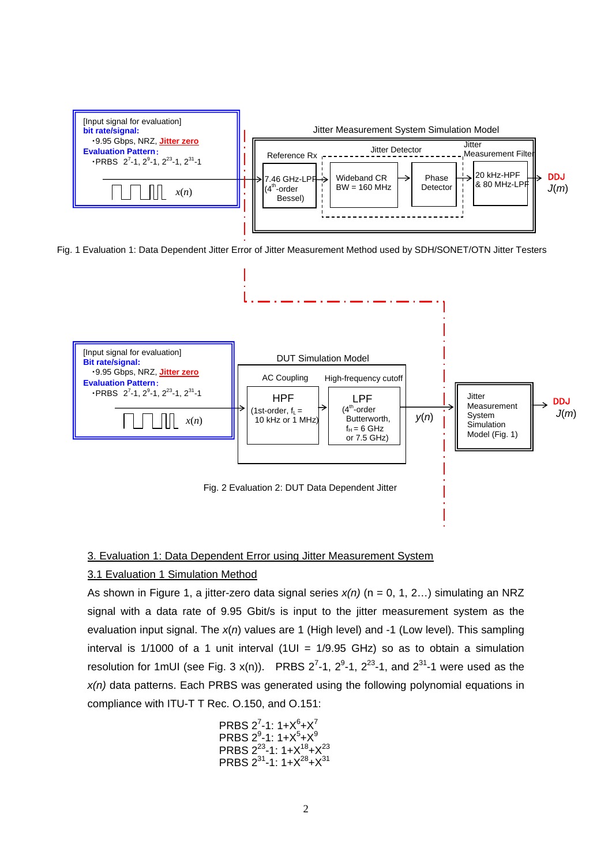

Fig. 1 Evaluation 1: Data Dependent Jitter Error of Jitter Measurement Method used by SDH/SONET/OTN Jitter Testers



#### 3. Evaluation 1: Data Dependent Error using Jitter Measurement System

#### 3.1 Evaluation 1 Simulation Method

As shown in Figure 1, a jitter-zero data signal series *x(n)* (n = 0, 1, 2…) simulating an NRZ signal with a data rate of 9.95 Gbit/s is input to the jitter measurement system as the evaluation input signal. The *x*(*n*) values are 1 (High level) and -1 (Low level). This sampling interval is 1/1000 of a 1 unit interval (1UI =  $1/9.95$  GHz) so as to obtain a simulation resolution for 1mUI (see Fig. 3 x(n)). PRBS  $2^7$ -1,  $2^9$ -1,  $2^{23}$ -1, and  $2^{31}$ -1 were used as the *x(n)* data patterns. Each PRBS was generated using the following polynomial equations in compliance with ITU-T T Rec. O.150, and O.151:

\n
$$
\text{PRBS } 2^7 - 1: 1 + X^6 + X^7
$$
\n

\n\n $\text{PRBS } 2^9 - 1: 1 + X^5 + X^9$ \n

\n\n $\text{PRBS } 2^{23} - 1: 1 + X^{18} + X^{23}$ \n

\n\n $\text{PRBS } 2^{31} - 1: 1 + X^{28} + X^{31}$ \n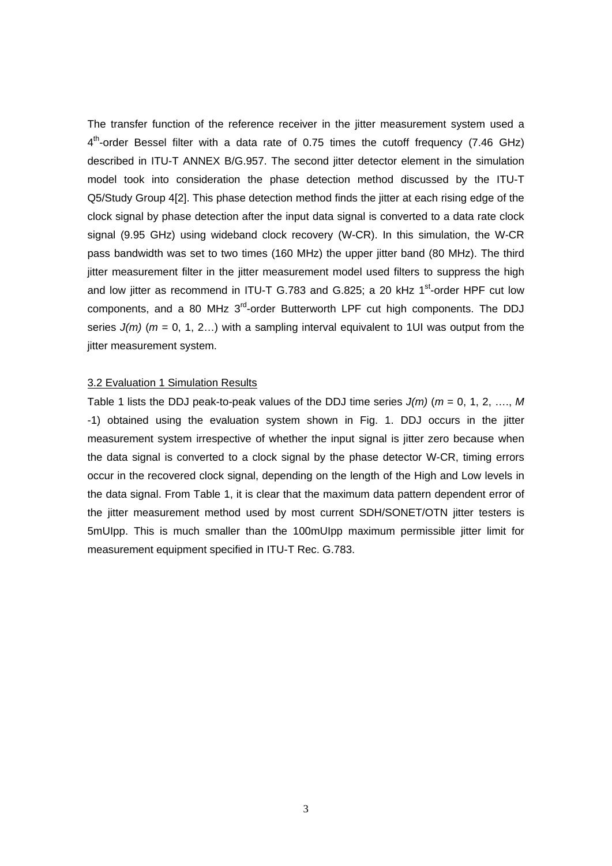The transfer function of the reference receiver in the jitter measurement system used a  $4<sup>th</sup>$ -order Bessel filter with a data rate of 0.75 times the cutoff frequency (7.46 GHz) described in ITU-T ANNEX B/G.957. The second jitter detector element in the simulation model took into consideration the phase detection method discussed by the ITU-T Q5/Study Group 4[2]. This phase detection method finds the jitter at each rising edge of the clock signal by phase detection after the input data signal is converted to a data rate clock signal (9.95 GHz) using wideband clock recovery (W-CR). In this simulation, the W-CR pass bandwidth was set to two times (160 MHz) the upper jitter band (80 MHz). The third jitter measurement filter in the jitter measurement model used filters to suppress the high and low jitter as recommend in ITU-T G.783 and G.825; a 20 kHz  $1<sup>st</sup>$ -order HPF cut low components, and a 80 MHz  $3^{rd}$ -order Butterworth LPF cut high components. The DDJ series *J(m)* (*m* = 0, 1, 2…) with a sampling interval equivalent to 1UI was output from the jitter measurement system.

#### 3.2 Evaluation 1 Simulation Results

Table 1 lists the DDJ peak-to-peak values of the DDJ time series *J(m)* (*m* = 0, 1, 2, …., *M* -1) obtained using the evaluation system shown in Fig. 1. DDJ occurs in the jitter measurement system irrespective of whether the input signal is jitter zero because when the data signal is converted to a clock signal by the phase detector W-CR, timing errors occur in the recovered clock signal, depending on the length of the High and Low levels in the data signal. From Table 1, it is clear that the maximum data pattern dependent error of the jitter measurement method used by most current SDH/SONET/OTN jitter testers is 5mUIpp. This is much smaller than the 100mUIpp maximum permissible jitter limit for measurement equipment specified in ITU-T Rec. G.783.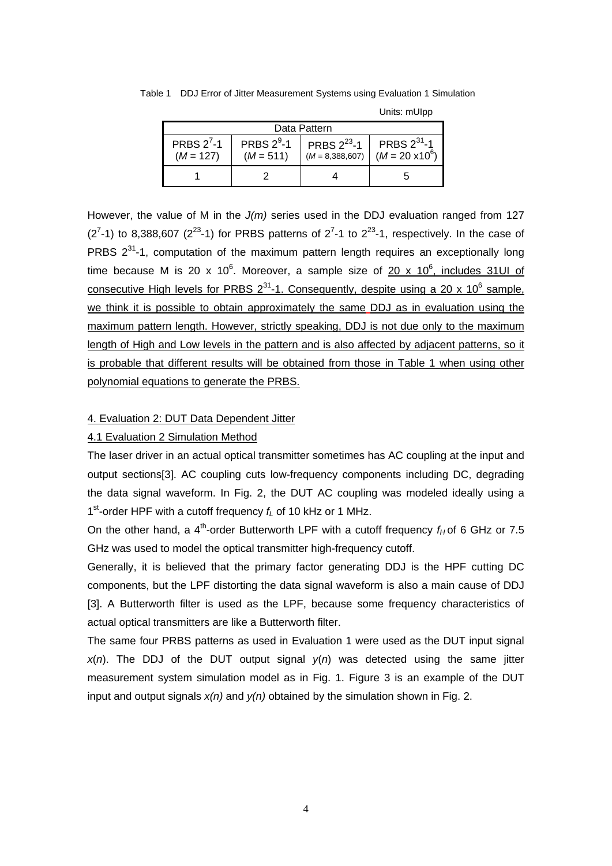| Data Pattern                |                              |                                       |                                            |  |  |  |  |
|-----------------------------|------------------------------|---------------------------------------|--------------------------------------------|--|--|--|--|
| PRBS $2^7-1$<br>$(M = 127)$ | PRBS $2^9$ -1<br>$(M = 511)$ | PRBS $2^{23}$ -1<br>$(M = 8,388,607)$ | PRBS $2^{31}$ -1<br>$(M = 20 \times 10^6)$ |  |  |  |  |
|                             |                              |                                       |                                            |  |  |  |  |

Table 1 DDJ Error of Jitter Measurement Systems using Evaluation 1 Simulation

However, the value of M in the *J(m)* series used in the DDJ evaluation ranged from 127  $(2<sup>7</sup>-1)$  to 8,388,607  $(2<sup>23</sup>-1)$  for PRBS patterns of  $2<sup>7</sup>-1$  to  $2<sup>23</sup>-1$ , respectively. In the case of PRBS  $2^{31}$ -1, computation of the maximum pattern length requires an exceptionally long time because M is 20 x 10<sup>6</sup>. Moreover, a sample size of  $20$  x 10<sup>6</sup>, includes 31UI of consecutive High levels for PRBS  $2^{31}$ -1. Consequently, despite using a 20 x 10<sup>6</sup> sample, we think it is possible to obtain approximately the same DDJ as in evaluation using the maximum pattern length. However, strictly speaking, DDJ is not due only to the maximum length of High and Low levels in the pattern and is also affected by adjacent patterns, so it is probable that different results will be obtained from those in Table 1 when using other polynomial equations to generate the PRBS.

### Units: mUIpp

#### 4. Evaluation 2: DUT Data Dependent Jitter

#### 4.1 Evaluation 2 Simulation Method

The laser driver in an actual optical transmitter sometimes has AC coupling at the input and output sections[3]. AC coupling cuts low-frequency components including DC, degrading the data signal waveform. In Fig. 2, the DUT AC coupling was modeled ideally using a 1<sup>st</sup>-order HPF with a cutoff frequency  $f<sub>L</sub>$  of 10 kHz or 1 MHz.

On the other hand, a 4<sup>th</sup>-order Butterworth LPF with a cutoff frequency  $f_H$  of 6 GHz or 7.5 GHz was used to model the optical transmitter high-frequency cutoff.

Generally, it is believed that the primary factor generating DDJ is the HPF cutting DC components, but the LPF distorting the data signal waveform is also a main cause of DDJ [3]. A Butterworth filter is used as the LPF, because some frequency characteristics of actual optical transmitters are like a Butterworth filter.

The same four PRBS patterns as used in Evaluation 1 were used as the DUT input signal  $x(n)$ . The DDJ of the DUT output signal  $y(n)$  was detected using the same jitter measurement system simulation model as in Fig. 1. Figure 3 is an example of the DUT input and output signals *x(n)* and *y(n)* obtained by the simulation shown in Fig. 2.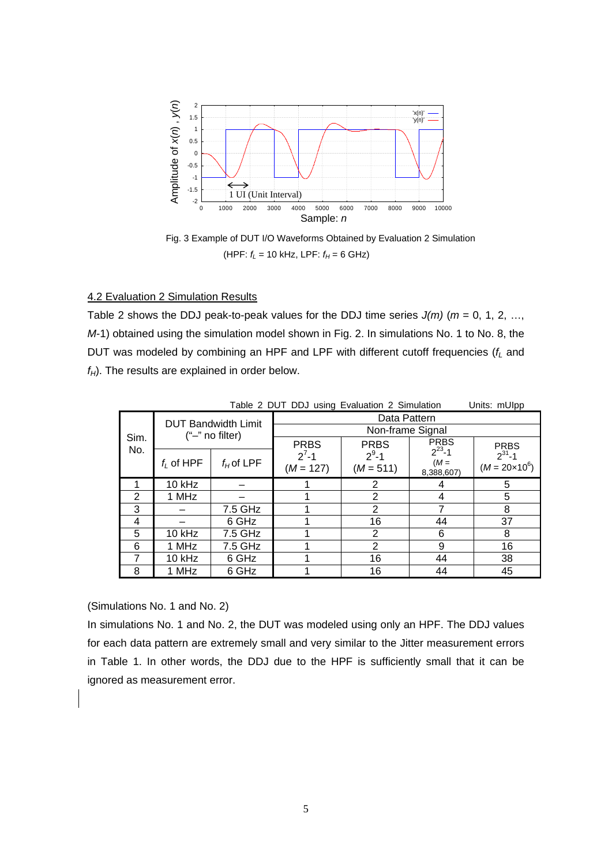

Fig. 3 Example of DUT I/O Waveforms Obtained by Evaluation 2 Simulation  $(HPF: f_L = 10 kHz, LPF: f_H = 6 GHz)$ 

#### 4.2 Evaluation 2 Simulation Results

Table 2 shows the DDJ peak-to-peak values for the DDJ time series  $J(m)$  ( $m = 0, 1, 2, \ldots$ ) *M*-1) obtained using the simulation model shown in Fig. 2. In simulations No. 1 to No. 8, the DUT was modeled by combining an HPF and LPF with different cutoff frequencies ( $f<sub>L</sub>$  and  $f_H$ ). The results are explained in order below.

|             |                                                  |              | Table 2 DUT DDJ using Evaluation 2 Simulation |                          |                                      | Units: mUlpp                           |  |
|-------------|--------------------------------------------------|--------------|-----------------------------------------------|--------------------------|--------------------------------------|----------------------------------------|--|
| Sim.<br>No. | <b>DUT Bandwidth Limit</b><br>$("-'"$ no filter) |              | Data Pattern                                  |                          |                                      |                                        |  |
|             |                                                  |              | Non-frame Signal                              |                          |                                      |                                        |  |
|             |                                                  |              | <b>PRBS</b>                                   | <b>PRBS</b>              | <b>PRBS</b>                          | <b>PRBS</b>                            |  |
|             | $f_i$ of HPF                                     | $f_H$ of LPF | $2^{7}-1$<br>$(M = 127)$                      | $2^9 - 1$<br>$(M = 511)$ | $2^{23} - 1$<br>$(M =$<br>8,388,607) | $2^{31} - 1$<br>$(M = 20 \times 10^6)$ |  |
|             | 10 kHz                                           |              |                                               | 2                        | 4                                    | 5                                      |  |
| 2           | 1 MHz                                            |              |                                               | $\overline{2}$           | 4                                    | 5                                      |  |
| 3           |                                                  | 7.5 GHz      |                                               | $\overline{2}$           |                                      | 8                                      |  |
| 4           |                                                  | 6 GHz        | 4                                             | 16                       | 44                                   | 37                                     |  |
| 5           | 10 kHz                                           | 7.5 GHz      |                                               | 2                        | 6                                    | 8                                      |  |
| 6           | 1 MHz                                            | 7.5 GHz      |                                               | 2                        | 9                                    | 16                                     |  |
| 7           | 10 kHz                                           | 6 GHz        |                                               | 16                       | 44                                   | 38                                     |  |
| 8           | 1 MHz                                            | 6 GHz        |                                               | 16                       | 44                                   | 45                                     |  |

(Simulations No. 1 and No. 2)

In simulations No. 1 and No. 2, the DUT was modeled using only an HPF. The DDJ values for each data pattern are extremely small and very similar to the Jitter measurement errors in Table 1. In other words, the DDJ due to the HPF is sufficiently small that it can be ignored as measurement error.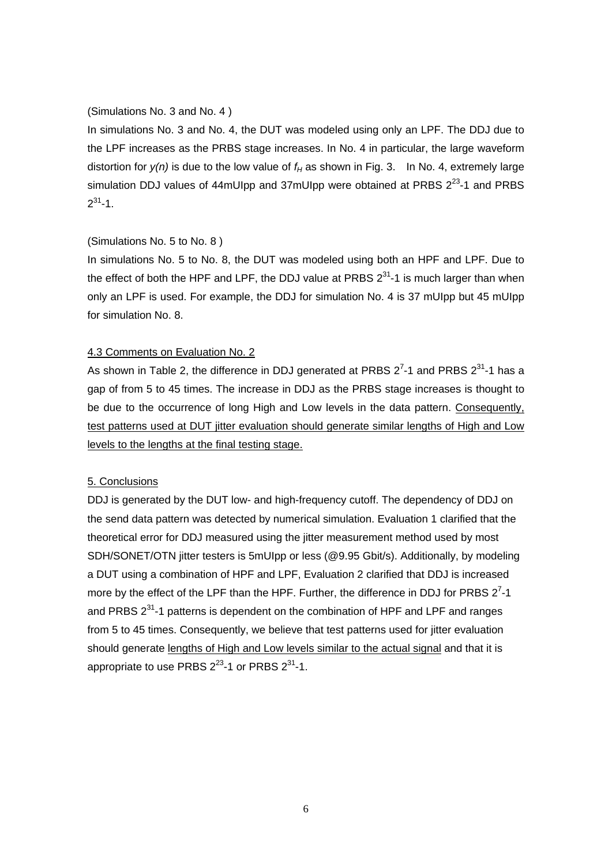#### (Simulations No. 3 and No. 4 )

In simulations No. 3 and No. 4, the DUT was modeled using only an LPF. The DDJ due to the LPF increases as the PRBS stage increases. In No. 4 in particular, the large waveform distortion for  $v(n)$  is due to the low value of  $f_H$  as shown in Fig. 3. In No. 4, extremely large simulation DDJ values of 44mUIpp and 37mUIpp were obtained at PRBS  $2^{23}$ -1 and PRBS  $2^{31} - 1$ .

#### (Simulations No. 5 to No. 8 )

In simulations No. 5 to No. 8, the DUT was modeled using both an HPF and LPF. Due to the effect of both the HPF and LPF, the DDJ value at PRBS  $2^{31}$ -1 is much larger than when only an LPF is used. For example, the DDJ for simulation No. 4 is 37 mUIpp but 45 mUIpp for simulation No. 8.

#### 4.3 Comments on Evaluation No. 2

As shown in Table 2, the difference in DDJ generated at PRBS  $2^7$ -1 and PRBS  $2^{31}$ -1 has a gap of from 5 to 45 times. The increase in DDJ as the PRBS stage increases is thought to be due to the occurrence of long High and Low levels in the data pattern. Consequently, test patterns used at DUT jitter evaluation should generate similar lengths of High and Low levels to the lengths at the final testing stage.

#### 5. Conclusions

DDJ is generated by the DUT low- and high-frequency cutoff. The dependency of DDJ on the send data pattern was detected by numerical simulation. Evaluation 1 clarified that the theoretical error for DDJ measured using the jitter measurement method used by most SDH/SONET/OTN jitter testers is 5mUIpp or less (@9.95 Gbit/s). Additionally, by modeling a DUT using a combination of HPF and LPF, Evaluation 2 clarified that DDJ is increased more by the effect of the LPF than the HPF. Further, the difference in DDJ for PRBS  $2^7$ -1 and PRBS  $2^{31}$ -1 patterns is dependent on the combination of HPF and LPF and ranges from 5 to 45 times. Consequently, we believe that test patterns used for jitter evaluation should generate lengths of High and Low levels similar to the actual signal and that it is appropriate to use PRBS  $2^{23}$ -1 or PRBS  $2^{31}$ -1.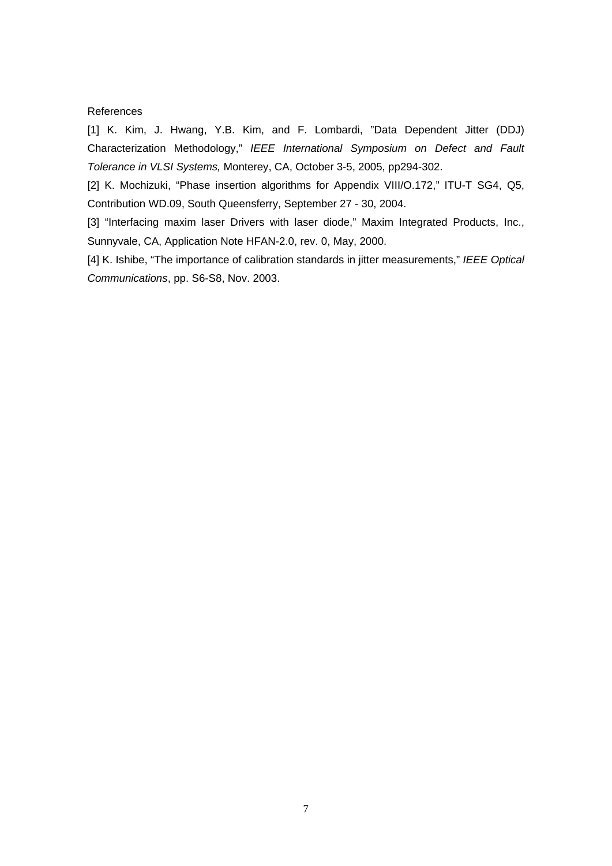#### References

[1] K. Kim, J. Hwang, Y.B. Kim, and F. Lombardi, "Data Dependent Jitter (DDJ) Characterization Methodology," *IEEE International Symposium on Defect and Fault Tolerance in VLSI Systems,* Monterey, CA, October 3-5, 2005, pp294-302.

[2] K. Mochizuki, "Phase insertion algorithms for Appendix VIII/O.172," ITU-T SG4, Q5, Contribution WD.09, South Queensferry, September 27 - 30, 2004.

[3] "Interfacing maxim laser Drivers with laser diode," Maxim Integrated Products, Inc., Sunnyvale, CA, Application Note HFAN-2.0, rev. 0, May, 2000.

[4] K. Ishibe, "The importance of calibration standards in jitter measurements," *IEEE Optical Communications*, pp. S6-S8, Nov. 2003.